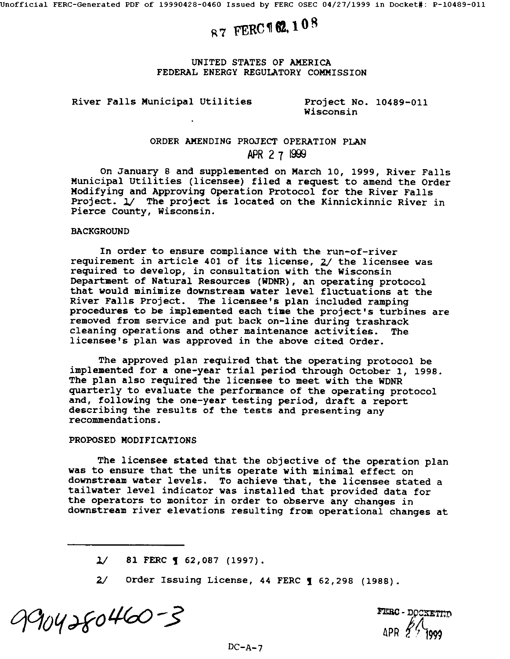# **87 FERC 162.108**

### UNITED STATES OF AMERICA FEDERAL ENERGY REGULATORY COMMISSION

# River Falls Municipal Utilities Project No. 10489-011

Wisconsin

# ORDER AMENDING PROJECT OPERATION PLAN **2 7**

On January 8 and supplemented on March I0, 1999, River Falls Municipal Utilities (licensee) filed a request to amend the Order Modifying and Approving Operation Protocol for the River Falls Project. 1/ The project is located on the Kinnickinnic River in Pierce County, Wisconsin.

#### **BACKGROUND**

In order to ensure compliance with the run-of-river requirement in article 401 of its license,  $2/$  the licensee was required to develop, in consultation with the Wisconsin Department of Natural Resources (WDNR), an operating protocol that would minimize downstream water level fluctuations at the River Falls Project. The licensee's plan included ramping procedures to be implemented each time the project's turbines are removed from service and put back on-line during trashrack cleaning operations and other maintenance activities. The licensee's plan was approved in the above cited Order.

The approved plan required that the operating protocol be implemented for a one-year trial period through October I, 1998. The plan also required the licensee to meet with the WDNR quarterly to evaluate the performance of the operating protocol and, following the one-year testing period, draft a report describing the results of the tests and presenting any recommendations.

#### PROPOSED MODIFICATIONS

The licensee stated that the objective of the operation plan was to ensure that the units operate with minimal effect on downstream water levels. To achieve that, the licensee stated a tailwater level indicator was installed that provided data for the operators to monitor in order to observe any changes in downstream river elevations resulting from operational changes at

9904280460-3

- DOCKETIND

 $1/$  81 FERC  $\sim$  62,087 (1997).

 $2/$  Order Issuing License, 44 FERC  $\frac{1}{2}$  62,298 (1988).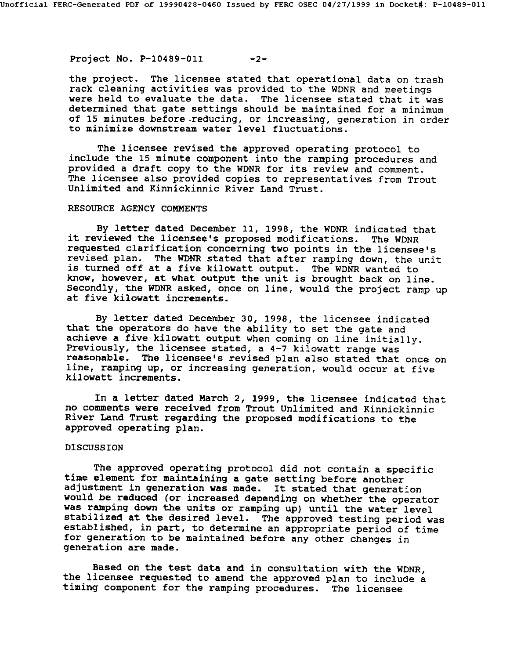Project No. P-10489-011 -2-

the project. The licensee stated that operational data on trash rack cleaning activities was provided to the WDNR and meetings were held to evaluate the data. The licensee stated that it was determined that gate settings should be maintained for a minimum of 15 minutes before.reducing, or increasing, generation in order to minimize downstream water level fluctuations.

The licensee revised the approved operating protocol to include the 15 minute component into the ramping procedures and provided a draft copy to the WDNR for its review and comment. The licensee also provided copies to representatives from Trout Unlimited and Kinnickinnic River Land Trust.

# RESOURCE AGENCY COMMENTS

By letter dated December II, 1998, the WDNR indicated that it reviewed the licensee's proposed modifications. The WDNR requested clarification concerning two points in the licensee's revised plan. The WDNR stated that after ramping down, the unit is turned off at a five kilowatt output. The WDNR wanted to know, however, at what output the unit is brought back on line. Secondly, the WDNR asked, once on line, would the project ramp up at five kilowatt increments.

By letter dated December 30, 1998, the licensee indicated that the operators do have the ability to set the gate and achieve a five kilowatt output when coming on line initially. Previously, the licensee stated, a 4-7 kilowatt range was reasonable. The licensee's revised plan also stated that once on line, ramping up, or increasing generation, would occur at five kilowatt increments.

In a letter dated March 2, 1999, the licensee indicated that no comments were received from Trout Unlimited and Kinnickinnic River Land Trust regarding the proposed modifications to the approved operating plan.

# DISCUSSION

The approved operating protocol did not contain a specific time element for maintaining a gate setting before another adjustment in generation was made. It stated that generation would be reduced (or increased depending on whether the operator was ramping down the units or ramping up) until the water level stabilized at the desired level. The approved testing period was established, in part, to determine an appropriate period of time for generation to be maintained before any other changes in generation are made.

Based on the test data and in consultation with the WDNR, the licensee requested to amend the approved plan to include a timing component for the ramping procedures. The licensee